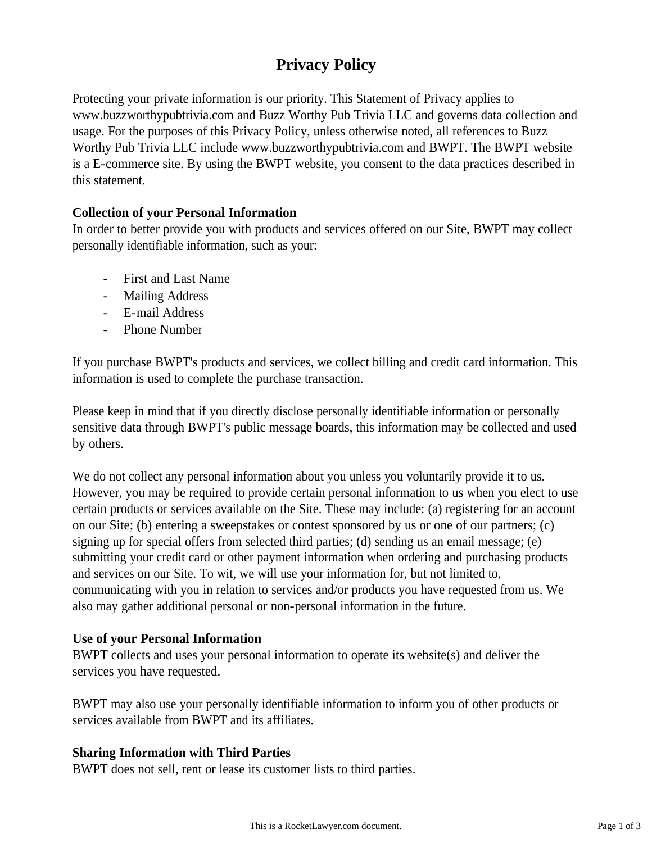# **Privacy Policy**

Protecting your private information is our priority. This Statement of Privacy applies to www.buzzworthypubtrivia.com and Buzz Worthy Pub Trivia LLC and governs data collection and usage. For the purposes of this Privacy Policy, unless otherwise noted, all references to Buzz Worthy Pub Trivia LLC include www.buzzworthypubtrivia.com and BWPT. The BWPT website is a E-commerce site. By using the BWPT website, you consent to the data practices described in this statement.

## **Collection of your Personal Information**

In order to better provide you with products and services offered on our Site, BWPT may collect personally identifiable information, such as your:

- First and Last Name
- Mailing Address
- E-mail Address
- Phone Number

If you purchase BWPT's products and services, we collect billing and credit card information. This information is used to complete the purchase transaction.

Please keep in mind that if you directly disclose personally identifiable information or personally sensitive data through BWPT's public message boards, this information may be collected and used by others.

We do not collect any personal information about you unless you voluntarily provide it to us. However, you may be required to provide certain personal information to us when you elect to use certain products or services available on the Site. These may include: (a) registering for an account on our Site; (b) entering a sweepstakes or contest sponsored by us or one of our partners; (c) signing up for special offers from selected third parties; (d) sending us an email message; (e) submitting your credit card or other payment information when ordering and purchasing products and services on our Site. To wit, we will use your information for, but not limited to, communicating with you in relation to services and/or products you have requested from us. We also may gather additional personal or non-personal information in the future.

#### **Use of your Personal Information**

BWPT collects and uses your personal information to operate its website(s) and deliver the services you have requested.

BWPT may also use your personally identifiable information to inform you of other products or services available from BWPT and its affiliates.

#### **Sharing Information with Third Parties**

BWPT does not sell, rent or lease its customer lists to third parties.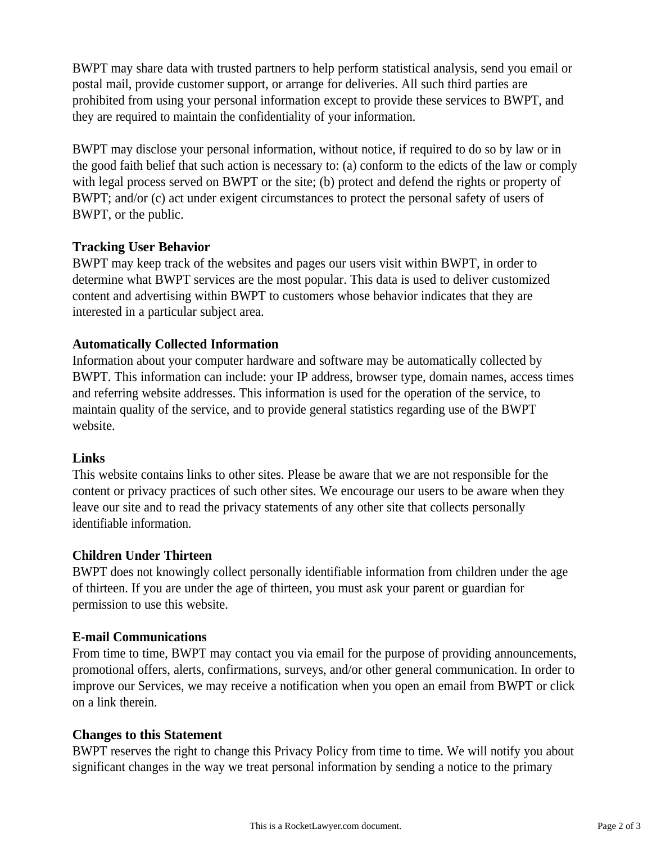BWPT may share data with trusted partners to help perform statistical analysis, send you email or postal mail, provide customer support, or arrange for deliveries. All such third parties are prohibited from using your personal information except to provide these services to BWPT, and they are required to maintain the confidentiality of your information.

BWPT may disclose your personal information, without notice, if required to do so by law or in the good faith belief that such action is necessary to: (a) conform to the edicts of the law or comply with legal process served on BWPT or the site; (b) protect and defend the rights or property of BWPT; and/or (c) act under exigent circumstances to protect the personal safety of users of BWPT, or the public.

#### **Tracking User Behavior**

BWPT may keep track of the websites and pages our users visit within BWPT, in order to determine what BWPT services are the most popular. This data is used to deliver customized content and advertising within BWPT to customers whose behavior indicates that they are interested in a particular subject area.

## **Automatically Collected Information**

Information about your computer hardware and software may be automatically collected by BWPT. This information can include: your IP address, browser type, domain names, access times and referring website addresses. This information is used for the operation of the service, to maintain quality of the service, and to provide general statistics regarding use of the BWPT website.

#### **Links**

This website contains links to other sites. Please be aware that we are not responsible for the content or privacy practices of such other sites. We encourage our users to be aware when they leave our site and to read the privacy statements of any other site that collects personally identifiable information.

#### **Children Under Thirteen**

BWPT does not knowingly collect personally identifiable information from children under the age of thirteen. If you are under the age of thirteen, you must ask your parent or guardian for permission to use this website.

#### **E-mail Communications**

From time to time, BWPT may contact you via email for the purpose of providing announcements, promotional offers, alerts, confirmations, surveys, and/or other general communication. In order to improve our Services, we may receive a notification when you open an email from BWPT or click on a link therein.

#### **Changes to this Statement**

BWPT reserves the right to change this Privacy Policy from time to time. We will notify you about significant changes in the way we treat personal information by sending a notice to the primary